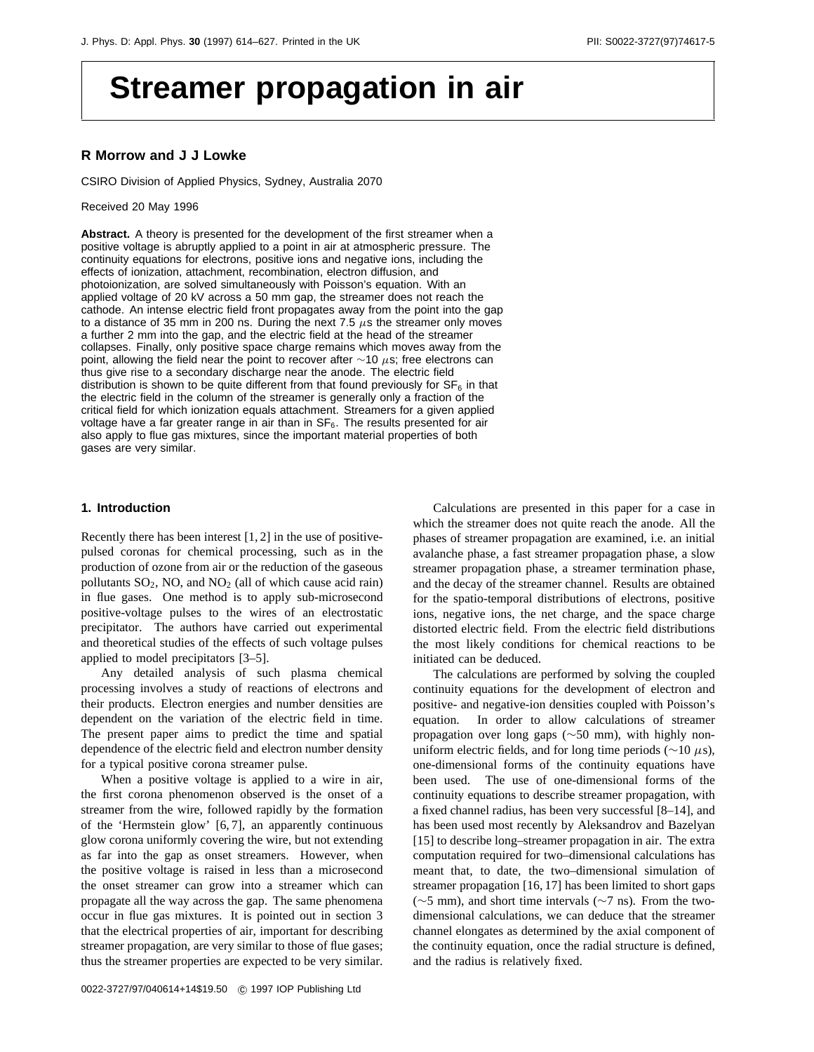# **Streamer propagation in air**

# **R Morrow and J J Lowke**

CSIRO Division of Applied Physics, Sydney, Australia 2070

Received 20 May 1996

**Abstract.** A theory is presented for the development of the first streamer when a positive voltage is abruptly applied to a point in air at atmospheric pressure. The continuity equations for electrons, positive ions and negative ions, including the effects of ionization, attachment, recombination, electron diffusion, and photoionization, are solved simultaneously with Poisson's equation. With an applied voltage of 20 kV across a 50 mm gap, the streamer does not reach the cathode. An intense electric field front propagates away from the point into the gap to a distance of 35 mm in 200 ns. During the next 7.5  $\mu$ s the streamer only moves a further 2 mm into the gap, and the electric field at the head of the streamer collapses. Finally, only positive space charge remains which moves away from the point, allowing the field near the point to recover after ∼10 *µ*s; free electrons can thus give rise to a secondary discharge near the anode. The electric field distribution is shown to be quite different from that found previously for  $SF<sub>6</sub>$  in that the electric field in the column of the streamer is generally only a fraction of the critical field for which ionization equals attachment. Streamers for a given applied voltage have a far greater range in air than in  $SF<sub>6</sub>$ . The results presented for air also apply to flue gas mixtures, since the important material properties of both gases are very similar.

#### **1. Introduction**

Recently there has been interest [1, 2] in the use of positivepulsed coronas for chemical processing, such as in the production of ozone from air or the reduction of the gaseous pollutants  $SO_2$ , NO, and  $NO_2$  (all of which cause acid rain) in flue gases. One method is to apply sub-microsecond positive-voltage pulses to the wires of an electrostatic precipitator. The authors have carried out experimental and theoretical studies of the effects of such voltage pulses applied to model precipitators [3–5].

Any detailed analysis of such plasma chemical processing involves a study of reactions of electrons and their products. Electron energies and number densities are dependent on the variation of the electric field in time. The present paper aims to predict the time and spatial dependence of the electric field and electron number density for a typical positive corona streamer pulse.

When a positive voltage is applied to a wire in air, the first corona phenomenon observed is the onset of a streamer from the wire, followed rapidly by the formation of the 'Hermstein glow' [6, 7], an apparently continuous glow corona uniformly covering the wire, but not extending as far into the gap as onset streamers. However, when the positive voltage is raised in less than a microsecond the onset streamer can grow into a streamer which can propagate all the way across the gap. The same phenomena occur in flue gas mixtures. It is pointed out in section 3 that the electrical properties of air, important for describing streamer propagation, are very similar to those of flue gases; thus the streamer properties are expected to be very similar.

Calculations are presented in this paper for a case in which the streamer does not quite reach the anode. All the phases of streamer propagation are examined, i.e. an initial avalanche phase, a fast streamer propagation phase, a slow streamer propagation phase, a streamer termination phase, and the decay of the streamer channel. Results are obtained for the spatio-temporal distributions of electrons, positive ions, negative ions, the net charge, and the space charge distorted electric field. From the electric field distributions the most likely conditions for chemical reactions to be initiated can be deduced.

The calculations are performed by solving the coupled continuity equations for the development of electron and positive- and negative-ion densities coupled with Poisson's equation. In order to allow calculations of streamer propagation over long gaps (∼50 mm), with highly nonuniform electric fields, and for long time periods (∼10 *µ*s), one-dimensional forms of the continuity equations have been used. The use of one-dimensional forms of the continuity equations to describe streamer propagation, with a fixed channel radius, has been very successful [8–14], and has been used most recently by Aleksandrov and Bazelyan [15] to describe long–streamer propagation in air. The extra computation required for two–dimensional calculations has meant that, to date, the two–dimensional simulation of streamer propagation [16, 17] has been limited to short gaps (∼5 mm), and short time intervals (∼7 ns). From the twodimensional calculations, we can deduce that the streamer channel elongates as determined by the axial component of the continuity equation, once the radial structure is defined, and the radius is relatively fixed.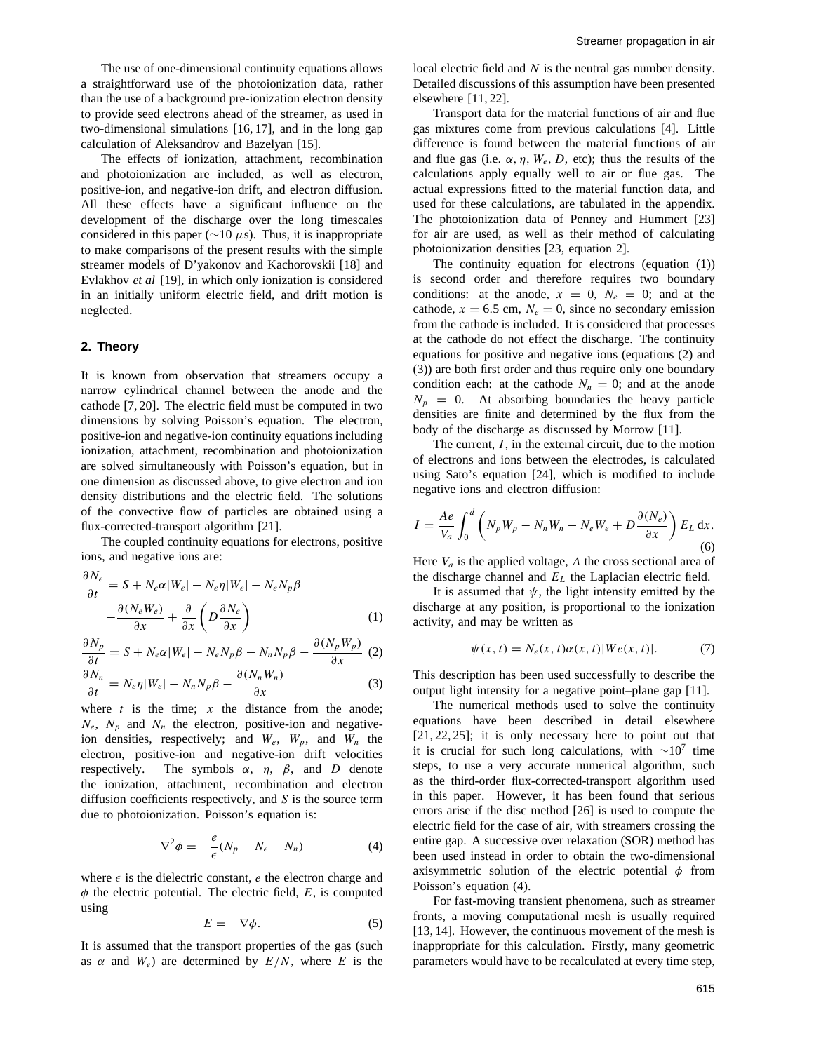The use of one-dimensional continuity equations allows a straightforward use of the photoionization data, rather than the use of a background pre-ionization electron density to provide seed electrons ahead of the streamer, as used in two-dimensional simulations [16, 17], and in the long gap calculation of Aleksandrov and Bazelyan [15].

The effects of ionization, attachment, recombination and photoionization are included, as well as electron, positive-ion, and negative-ion drift, and electron diffusion. All these effects have a significant influence on the development of the discharge over the long timescales considered in this paper (∼10 *µ*s). Thus, it is inappropriate to make comparisons of the present results with the simple streamer models of D'yakonov and Kachorovskii [18] and Evlakhov *et al* [19], in which only ionization is considered in an initially uniform electric field, and drift motion is neglected.

# **2. Theory**

It is known from observation that streamers occupy a narrow cylindrical channel between the anode and the cathode [7, 20]. The electric field must be computed in two dimensions by solving Poisson's equation. The electron, positive-ion and negative-ion continuity equations including ionization, attachment, recombination and photoionization are solved simultaneously with Poisson's equation, but in one dimension as discussed above, to give electron and ion density distributions and the electric field. The solutions of the convective flow of particles are obtained using a flux-corrected-transport algorithm [21].

The coupled continuity equations for electrons, positive ions, and negative ions are:

$$
\frac{\partial N_e}{\partial t} = S + N_e \alpha |W_e| - N_e \eta |W_e| - N_e N_p \beta
$$

$$
- \frac{\partial (N_e W_e)}{\partial x} + \frac{\partial}{\partial x} \left( D \frac{\partial N_e}{\partial x} \right) \tag{1}
$$

$$
\frac{\partial N_p}{\partial t} = S + N_e \alpha |W_e| - N_e N_p \beta - N_n N_p \beta - \frac{\partial (N_p W_p)}{\partial x} \tag{2}
$$

$$
\frac{\partial N_n}{\partial t} = N_e \eta |W_e| - N_n N_p \beta - \frac{\partial (N_n W_n)}{\partial x}
$$
(3)

where  $t$  is the time;  $x$  the distance from the anode;  $N_e$ ,  $N_p$  and  $N_n$  the electron, positive-ion and negativeion densities, respectively; and *We*, *Wp*, and *Wn* the electron, positive-ion and negative-ion drift velocities respectively. The symbols  $\alpha$ ,  $\eta$ ,  $\beta$ , and *D* denote the ionization, attachment, recombination and electron diffusion coefficients respectively, and *S* is the source term due to photoionization. Poisson's equation is:

$$
\nabla^2 \phi = -\frac{e}{\epsilon} (N_p - N_e - N_n) \tag{4}
$$

where  $\epsilon$  is the dielectric constant,  $e$  the electron charge and  $\phi$  the electric potential. The electric field,  $E$ , is computed using

$$
E = -\nabla \phi. \tag{5}
$$

It is assumed that the transport properties of the gas (such as  $\alpha$  and  $W_e$ ) are determined by  $E/N$ , where *E* is the local electric field and *N* is the neutral gas number density. Detailed discussions of this assumption have been presented elsewhere [11, 22].

Transport data for the material functions of air and flue gas mixtures come from previous calculations [4]. Little difference is found between the material functions of air and flue gas (i.e.  $\alpha$ ,  $\eta$ ,  $W_e$ ,  $D$ , etc); thus the results of the calculations apply equally well to air or flue gas. The actual expressions fitted to the material function data, and used for these calculations, are tabulated in the appendix. The photoionization data of Penney and Hummert [23] for air are used, as well as their method of calculating photoionization densities [23, equation 2].

The continuity equation for electrons (equation (1)) is second order and therefore requires two boundary conditions: at the anode,  $x = 0$ ,  $N_e = 0$ ; and at the cathode,  $x = 6.5$  cm,  $N_e = 0$ , since no secondary emission from the cathode is included. It is considered that processes at the cathode do not effect the discharge. The continuity equations for positive and negative ions (equations (2) and (3)) are both first order and thus require only one boundary condition each: at the cathode  $N_n = 0$ ; and at the anode  $N_p = 0$ . At absorbing boundaries the heavy particle densities are finite and determined by the flux from the body of the discharge as discussed by Morrow [11].

The current, *I*, in the external circuit, due to the motion of electrons and ions between the electrodes, is calculated using Sato's equation [24], which is modified to include negative ions and electron diffusion:

$$
I = \frac{Ae}{V_a} \int_0^d \left( N_p W_p - N_n W_n - N_e W_e + D \frac{\partial (N_e)}{\partial x} \right) E_L \, dx.
$$
\n(6)

Here  $V_a$  is the applied voltage,  $A$  the cross sectional area of the discharge channel and *EL* the Laplacian electric field.

It is assumed that  $\psi$ , the light intensity emitted by the discharge at any position, is proportional to the ionization activity, and may be written as

$$
\psi(x,t) = N_e(x,t)\alpha(x,t)|We(x,t)|.
$$
 (7)

This description has been used successfully to describe the output light intensity for a negative point–plane gap [11].

The numerical methods used to solve the continuity equations have been described in detail elsewhere [21, 22, 25]; it is only necessary here to point out that it is crucial for such long calculations, with  $\sim 10^7$  time steps, to use a very accurate numerical algorithm, such as the third-order flux-corrected-transport algorithm used in this paper. However, it has been found that serious errors arise if the disc method [26] is used to compute the electric field for the case of air, with streamers crossing the entire gap. A successive over relaxation (SOR) method has been used instead in order to obtain the two-dimensional axisymmetric solution of the electric potential *φ* from Poisson's equation (4).

For fast-moving transient phenomena, such as streamer fronts, a moving computational mesh is usually required [13, 14]. However, the continuous movement of the mesh is inappropriate for this calculation. Firstly, many geometric parameters would have to be recalculated at every time step,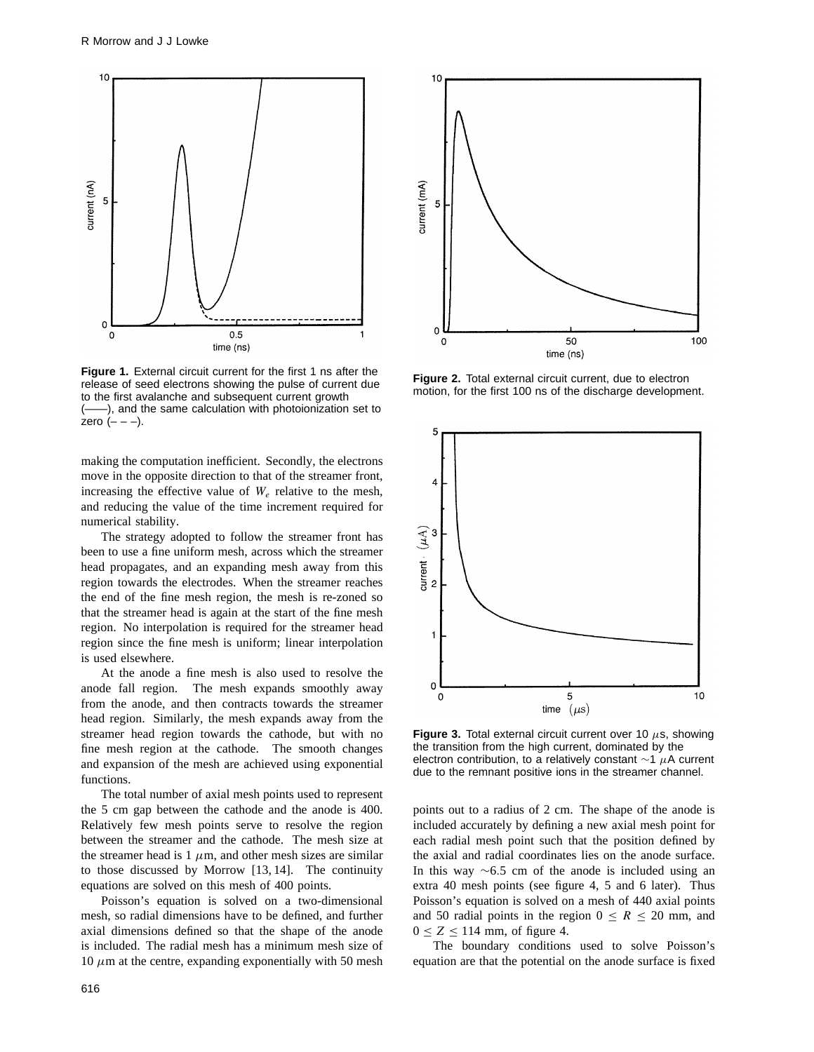

**Figure 1.** External circuit current for the first 1 ns after the release of seed electrons showing the pulse of current due to the first avalanche and subsequent current growth (——), and the same calculation with photoionization set to zero  $(- - -)$ .

making the computation inefficient. Secondly, the electrons move in the opposite direction to that of the streamer front, increasing the effective value of  $W_e$  relative to the mesh, and reducing the value of the time increment required for numerical stability.

The strategy adopted to follow the streamer front has been to use a fine uniform mesh, across which the streamer head propagates, and an expanding mesh away from this region towards the electrodes. When the streamer reaches the end of the fine mesh region, the mesh is re-zoned so that the streamer head is again at the start of the fine mesh region. No interpolation is required for the streamer head region since the fine mesh is uniform; linear interpolation is used elsewhere.

At the anode a fine mesh is also used to resolve the anode fall region. The mesh expands smoothly away from the anode, and then contracts towards the streamer head region. Similarly, the mesh expands away from the streamer head region towards the cathode, but with no fine mesh region at the cathode. The smooth changes and expansion of the mesh are achieved using exponential functions.

The total number of axial mesh points used to represent the 5 cm gap between the cathode and the anode is 400. Relatively few mesh points serve to resolve the region between the streamer and the cathode. The mesh size at the streamer head is  $1 \mu m$ , and other mesh sizes are similar to those discussed by Morrow [13, 14]. The continuity equations are solved on this mesh of 400 points.

Poisson's equation is solved on a two-dimensional mesh, so radial dimensions have to be defined, and further axial dimensions defined so that the shape of the anode is included. The radial mesh has a minimum mesh size of  $10 \mu m$  at the centre, expanding exponentially with 50 mesh



**Figure 2.** Total external circuit current, due to electron motion, for the first 100 ns of the discharge development.



**Figure 3.** Total external circuit current over 10 *µ*s, showing the transition from the high current, dominated by the electron contribution, to a relatively constant ∼1 *µ*A current due to the remnant positive ions in the streamer channel.

points out to a radius of 2 cm. The shape of the anode is included accurately by defining a new axial mesh point for each radial mesh point such that the position defined by the axial and radial coordinates lies on the anode surface. In this way ∼6*.*5 cm of the anode is included using an extra 40 mesh points (see figure 4, 5 and 6 later). Thus Poisson's equation is solved on a mesh of 440 axial points and 50 radial points in the region  $0 \le R \le 20$  mm, and  $0 \le Z \le 114$  mm, of figure 4.

The boundary conditions used to solve Poisson's equation are that the potential on the anode surface is fixed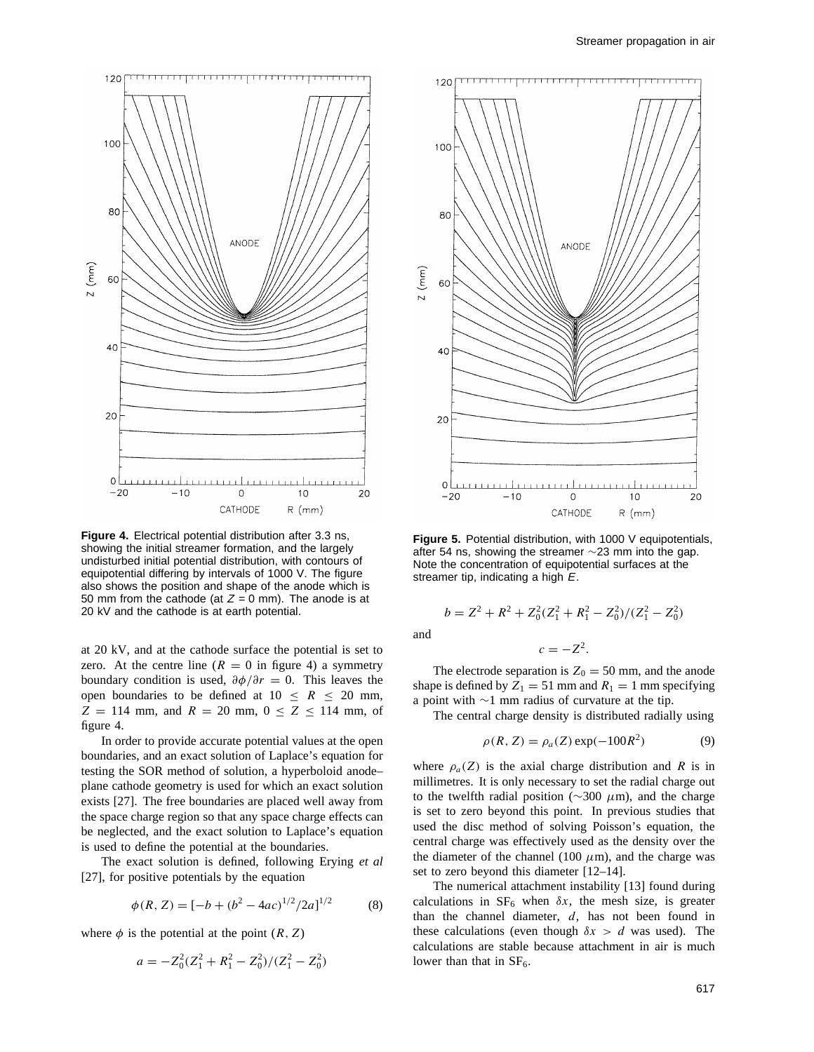

**Figure 4.** Electrical potential distribution after 3.3 ns, showing the initial streamer formation, and the largely undisturbed initial potential distribution, with contours of equipotential differing by intervals of 1000 V. The figure also shows the position and shape of the anode which is 50 mm from the cathode (at  $Z = 0$  mm). The anode is at 20 kV and the cathode is at earth potential.

at 20 kV, and at the cathode surface the potential is set to zero. At the centre line  $(R = 0$  in figure 4) a symmetry boundary condition is used,  $\partial \phi / \partial r = 0$ . This leaves the open boundaries to be defined at  $10 \le R \le 20$  mm,  $Z = 114$  mm, and  $R = 20$  mm,  $0 \le Z \le 114$  mm, of figure 4.

In order to provide accurate potential values at the open boundaries, and an exact solution of Laplace's equation for testing the SOR method of solution, a hyperboloid anode– plane cathode geometry is used for which an exact solution exists [27]. The free boundaries are placed well away from the space charge region so that any space charge effects can be neglected, and the exact solution to Laplace's equation is used to define the potential at the boundaries.

The exact solution is defined, following Erying *et al* [27], for positive potentials by the equation

$$
\phi(R, Z) = [-b + (b^2 - 4ac)^{1/2}/2a]^{1/2}
$$
 (8)

where  $\phi$  is the potential at the point  $(R, Z)$ 

$$
a = -Z_0^2(Z_1^2 + R_1^2 - Z_0^2)/(Z_1^2 - Z_0^2)
$$



**Figure 5.** Potential distribution, with 1000 V equipotentials, after 54 ns, showing the streamer ∼23 mm into the gap. Note the concentration of equipotential surfaces at the streamer tip, indicating a high  $E$ .

$$
b = Z^2 + R^2 + Z_0^2 (Z_1^2 + R_1^2 - Z_0^2) / (Z_1^2 - Z_0^2)
$$
  
and  

$$
c = -Z^2.
$$

The electrode separation is  $Z_0 = 50$  mm, and the anode shape is defined by  $Z_1 = 51$  mm and  $R_1 = 1$  mm specifying a point with ∼1 mm radius of curvature at the tip.

The central charge density is distributed radially using

$$
\rho(R, Z) = \rho_a(Z) \exp(-100R^2)
$$
 (9)

where  $\rho_a(Z)$  is the axial charge distribution and *R* is in millimetres. It is only necessary to set the radial charge out to the twelfth radial position (∼300 *µ*m), and the charge is set to zero beyond this point. In previous studies that used the disc method of solving Poisson's equation, the central charge was effectively used as the density over the the diameter of the channel (100  $\mu$ m), and the charge was set to zero beyond this diameter [12–14].

The numerical attachment instability [13] found during calculations in  $SF_6$  when  $\delta x$ , the mesh size, is greater than the channel diameter, *d*, has not been found in these calculations (even though  $\delta x > d$  was used). The calculations are stable because attachment in air is much lower than that in  $SF<sub>6</sub>$ .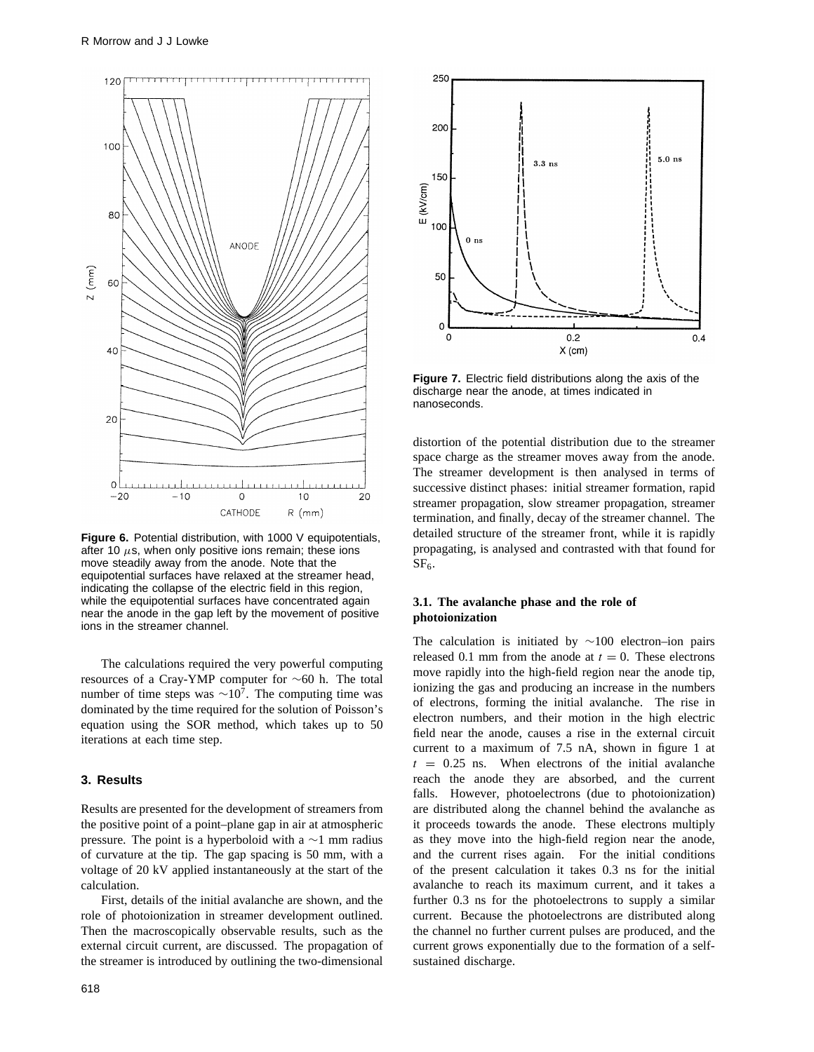

**Figure 6.** Potential distribution, with 1000 V equipotentials, after 10  $\mu$ s, when only positive ions remain; these ions move steadily away from the anode. Note that the equipotential surfaces have relaxed at the streamer head, indicating the collapse of the electric field in this region, while the equipotential surfaces have concentrated again near the anode in the gap left by the movement of positive ions in the streamer channel.

The calculations required the very powerful computing resources of a Cray-YMP computer for ∼60 h. The total number of time steps was  $\sim 10^7$ . The computing time was dominated by the time required for the solution of Poisson's equation using the SOR method, which takes up to 50 iterations at each time step.

#### **3. Results**

Results are presented for the development of streamers from the positive point of a point–plane gap in air at atmospheric pressure. The point is a hyperboloid with a ∼1 mm radius of curvature at the tip. The gap spacing is 50 mm, with a voltage of 20 kV applied instantaneously at the start of the calculation.

First, details of the initial avalanche are shown, and the role of photoionization in streamer development outlined. Then the macroscopically observable results, such as the external circuit current, are discussed. The propagation of the streamer is introduced by outlining the two-dimensional



**Figure 7.** Electric field distributions along the axis of the discharge near the anode, at times indicated in nanoseconds.

distortion of the potential distribution due to the streamer space charge as the streamer moves away from the anode. The streamer development is then analysed in terms of successive distinct phases: initial streamer formation, rapid streamer propagation, slow streamer propagation, streamer termination, and finally, decay of the streamer channel. The detailed structure of the streamer front, while it is rapidly propagating, is analysed and contrasted with that found for  $SF<sub>6</sub>$ .

#### **3.1. The avalanche phase and the role of photoionization**

The calculation is initiated by  $\sim$ 100 electron–ion pairs released 0.1 mm from the anode at  $t = 0$ . These electrons move rapidly into the high-field region near the anode tip, ionizing the gas and producing an increase in the numbers of electrons, forming the initial avalanche. The rise in electron numbers, and their motion in the high electric field near the anode, causes a rise in the external circuit current to a maximum of 7.5 nA, shown in figure 1 at  $t = 0.25$  ns. When electrons of the initial avalanche reach the anode they are absorbed, and the current falls. However, photoelectrons (due to photoionization) are distributed along the channel behind the avalanche as it proceeds towards the anode. These electrons multiply as they move into the high-field region near the anode, and the current rises again. For the initial conditions of the present calculation it takes 0.3 ns for the initial avalanche to reach its maximum current, and it takes a further 0.3 ns for the photoelectrons to supply a similar current. Because the photoelectrons are distributed along the channel no further current pulses are produced, and the current grows exponentially due to the formation of a selfsustained discharge.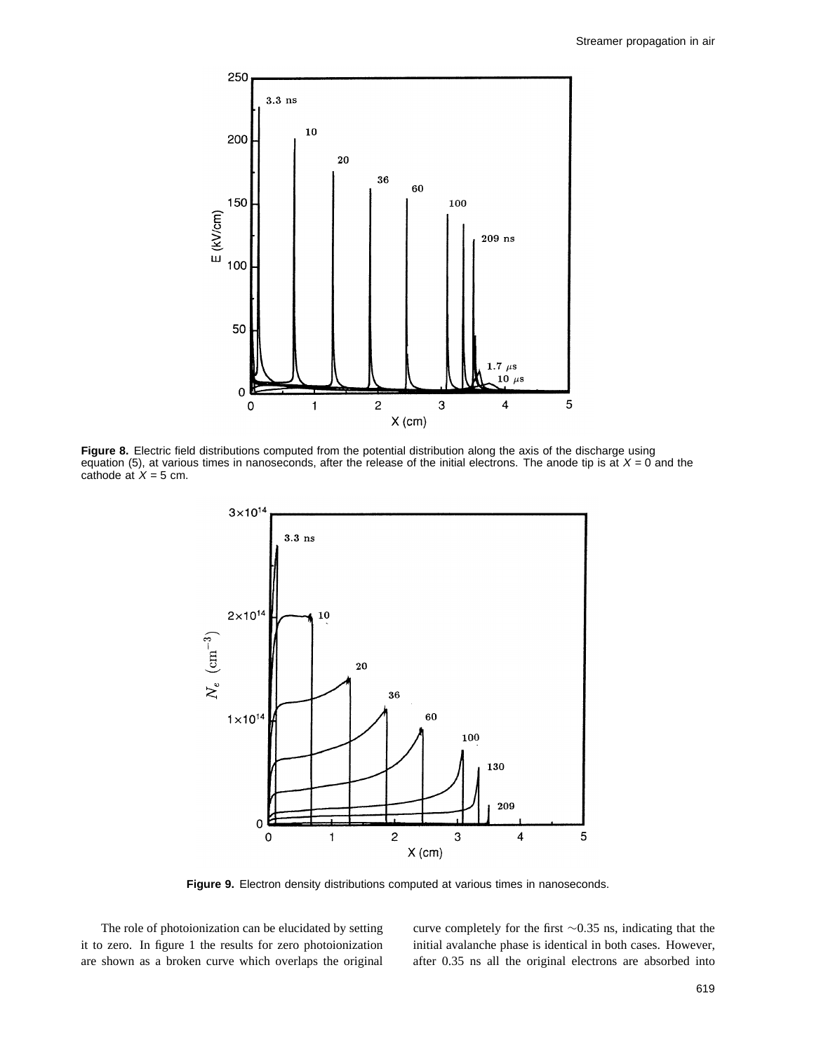

**Figure 8.** Electric field distributions computed from the potential distribution along the axis of the discharge using equation (5), at various times in nanoseconds, after the release of the initial electrons. The anode tip is at  $X = 0$  and the cathode at  $X = 5$  cm.



**Figure 9.** Electron density distributions computed at various times in nanoseconds.

The role of photoionization can be elucidated by setting it to zero. In figure 1 the results for zero photoionization are shown as a broken curve which overlaps the original curve completely for the first ∼0*.*35 ns, indicating that the initial avalanche phase is identical in both cases. However, after 0.35 ns all the original electrons are absorbed into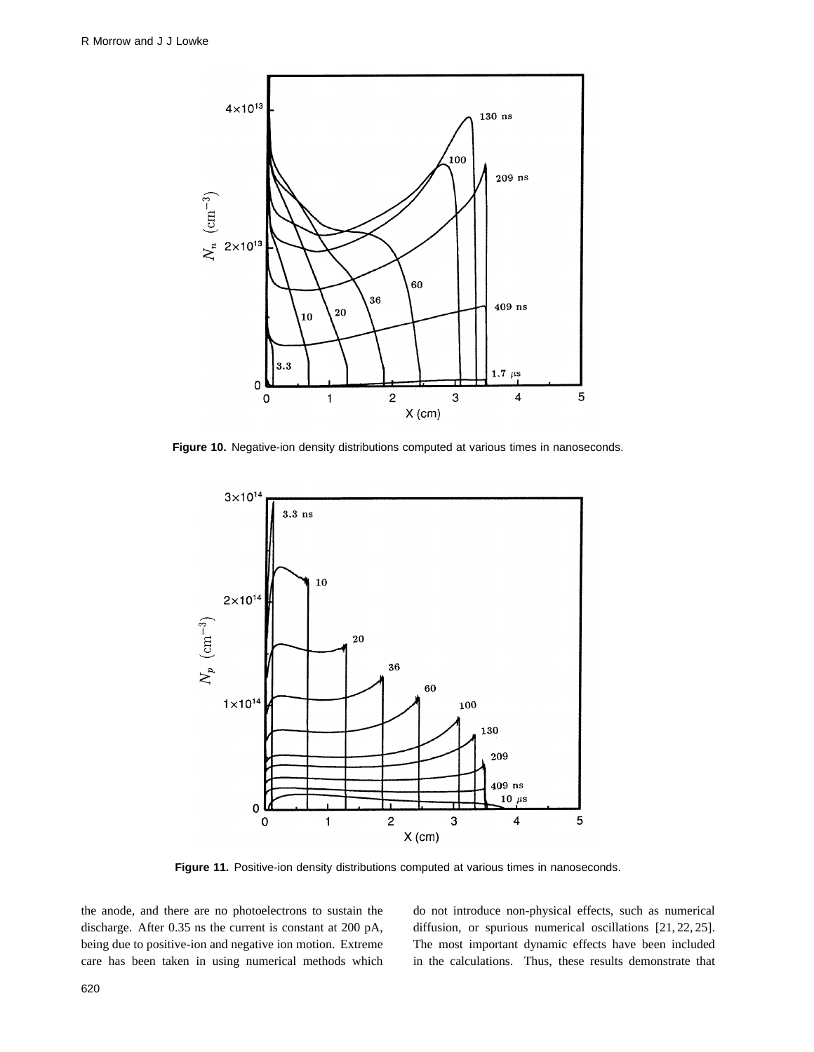

**Figure 10.** Negative-ion density distributions computed at various times in nanoseconds.



Figure 11. Positive-ion density distributions computed at various times in nanoseconds.

the anode, and there are no photoelectrons to sustain the discharge. After 0.35 ns the current is constant at 200 pA, being due to positive-ion and negative ion motion. Extreme care has been taken in using numerical methods which do not introduce non-physical effects, such as numerical diffusion, or spurious numerical oscillations [21, 22, 25]. The most important dynamic effects have been included in the calculations. Thus, these results demonstrate that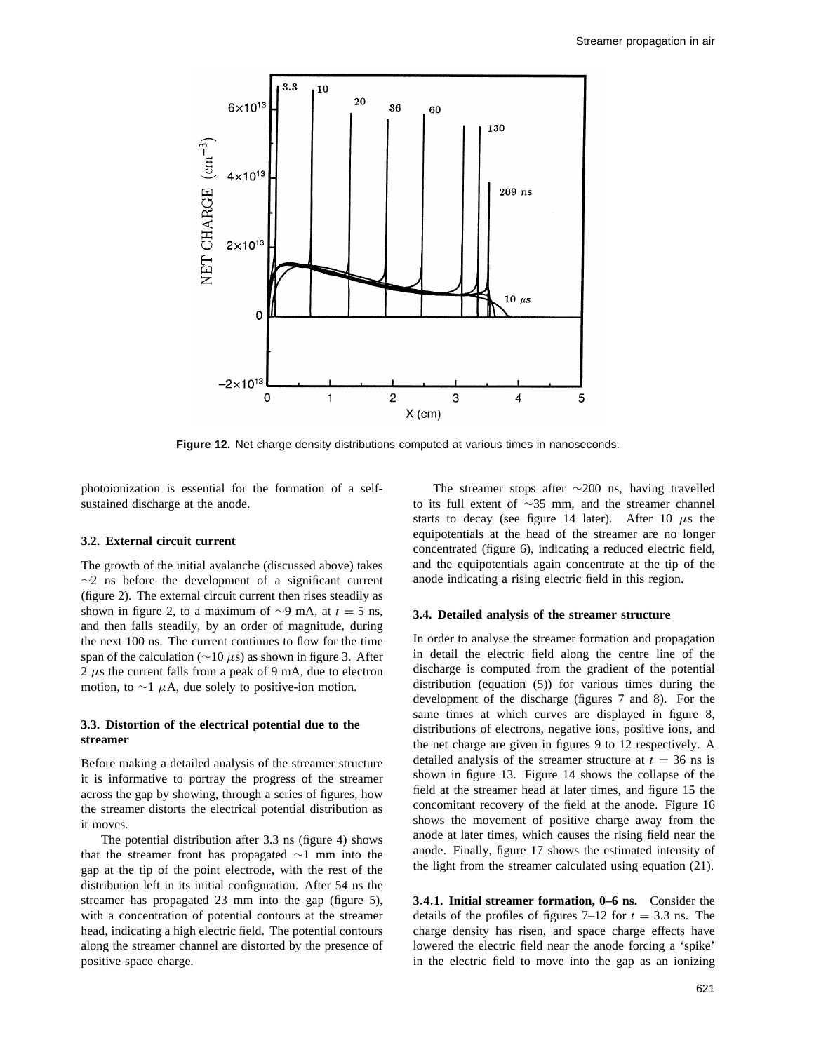

**Figure 12.** Net charge density distributions computed at various times in nanoseconds.

photoionization is essential for the formation of a selfsustained discharge at the anode.

#### **3.2. External circuit current**

The growth of the initial avalanche (discussed above) takes  $\sim$ 2 ns before the development of a significant current (figure 2). The external circuit current then rises steadily as shown in figure 2, to a maximum of  $\sim$ 9 mA, at *t* = 5 ns, and then falls steadily, by an order of magnitude, during the next 100 ns. The current continues to flow for the time span of the calculation (∼10 *µ*s) as shown in figure 3. After 2 *µ*s the current falls from a peak of 9 mA, due to electron motion, to  $\sim$ 1  $\mu$ A, due solely to positive-ion motion.

# **3.3. Distortion of the electrical potential due to the streamer**

Before making a detailed analysis of the streamer structure it is informative to portray the progress of the streamer across the gap by showing, through a series of figures, how the streamer distorts the electrical potential distribution as it moves.

The potential distribution after 3.3 ns (figure 4) shows that the streamer front has propagated ∼1 mm into the gap at the tip of the point electrode, with the rest of the distribution left in its initial configuration. After 54 ns the streamer has propagated 23 mm into the gap (figure 5), with a concentration of potential contours at the streamer head, indicating a high electric field. The potential contours along the streamer channel are distorted by the presence of positive space charge.

The streamer stops after ∼200 ns, having travelled to its full extent of ∼35 mm, and the streamer channel starts to decay (see figure 14 later). After 10 *µ*s the equipotentials at the head of the streamer are no longer concentrated (figure 6), indicating a reduced electric field, and the equipotentials again concentrate at the tip of the anode indicating a rising electric field in this region.

#### **3.4. Detailed analysis of the streamer structure**

In order to analyse the streamer formation and propagation in detail the electric field along the centre line of the discharge is computed from the gradient of the potential distribution (equation (5)) for various times during the development of the discharge (figures 7 and 8). For the same times at which curves are displayed in figure 8, distributions of electrons, negative ions, positive ions, and the net charge are given in figures 9 to 12 respectively. A detailed analysis of the streamer structure at  $t = 36$  ns is shown in figure 13. Figure 14 shows the collapse of the field at the streamer head at later times, and figure 15 the concomitant recovery of the field at the anode. Figure 16 shows the movement of positive charge away from the anode at later times, which causes the rising field near the anode. Finally, figure 17 shows the estimated intensity of the light from the streamer calculated using equation (21).

**3***.***4***.***1. Initial streamer formation, 0–6 ns.** Consider the details of the profiles of figures  $7-12$  for  $t = 3.3$  ns. The charge density has risen, and space charge effects have lowered the electric field near the anode forcing a 'spike' in the electric field to move into the gap as an ionizing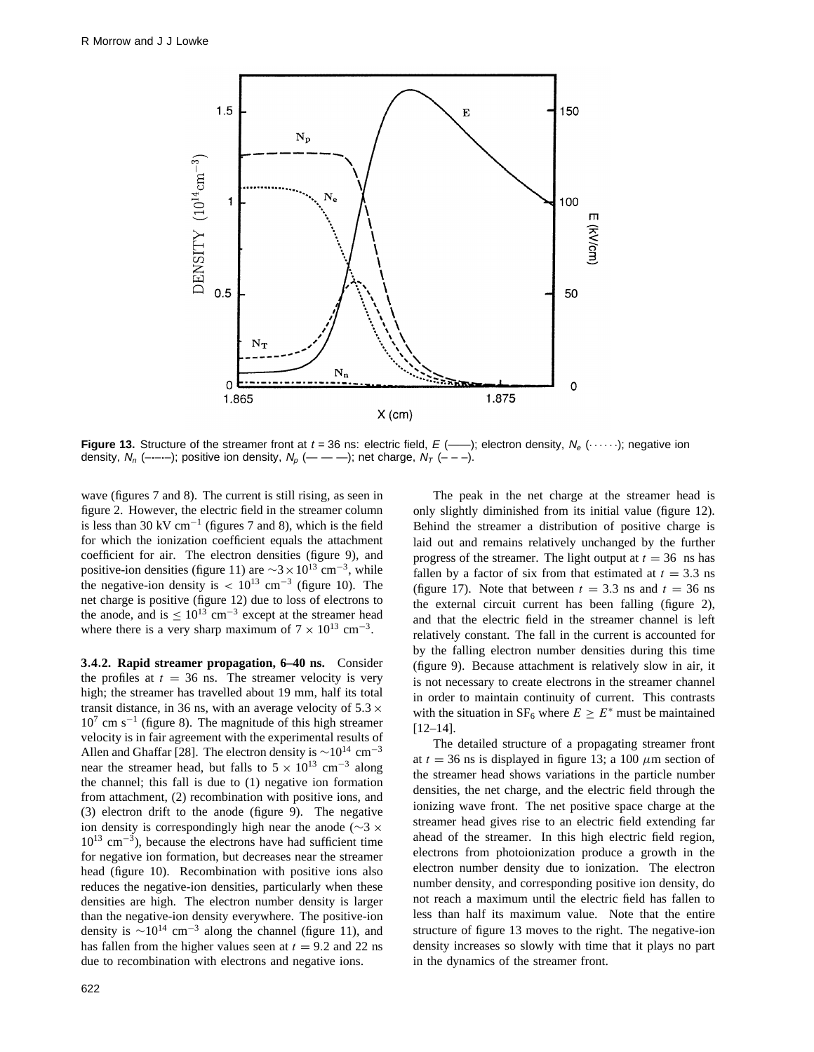

**Figure 13.** Structure of the streamer front at  $t = 36$  ns: electric field,  $E$  (----); electron density,  $N_e$  (.....); negative ion density,  $N_n$  (-----); positive ion density,  $N_p$  (----); net charge,  $N_T$  (---).

wave (figures 7 and 8). The current is still rising, as seen in figure 2. However, the electric field in the streamer column is less than 30 kV cm<sup>-1</sup> (figures 7 and 8), which is the field for which the ionization coefficient equals the attachment coefficient for air. The electron densities (figure 9), and positive-ion densities (figure 11) are  $\sim$ 3 × 10<sup>13</sup> cm<sup>-3</sup>, while the negative-ion density is  $< 10^{13}$  cm<sup>-3</sup> (figure 10). The net charge is positive (figure 12) due to loss of electrons to the anode, and is  $\leq 10^{13}$  cm<sup>-3</sup> except at the streamer head where there is a very sharp maximum of  $7 \times 10^{13}$  cm<sup>-3</sup>.

**3***.***4***.***2. Rapid streamer propagation, 6–40 ns.** Consider the profiles at  $t = 36$  ns. The streamer velocity is very high; the streamer has travelled about 19 mm, half its total transit distance, in 36 ns, with an average velocity of  $5.3 \times$  $10<sup>7</sup>$  cm s<sup>−1</sup> (figure 8). The magnitude of this high streamer velocity is in fair agreement with the experimental results of Allen and Ghaffar [28]. The electron density is  $\sim$ 10<sup>14</sup> cm<sup>-3</sup> near the streamer head, but falls to  $5 \times 10^{13}$  cm<sup>-3</sup> along the channel; this fall is due to (1) negative ion formation from attachment, (2) recombination with positive ions, and (3) electron drift to the anode (figure 9). The negative ion density is correspondingly high near the anode (∼3 ×  $10^{13}$  cm<sup>-3</sup>), because the electrons have had sufficient time for negative ion formation, but decreases near the streamer head (figure 10). Recombination with positive ions also reduces the negative-ion densities, particularly when these densities are high. The electron number density is larger than the negative-ion density everywhere. The positive-ion density is  $\sim 10^{14}$  cm<sup>-3</sup> along the channel (figure 11), and has fallen from the higher values seen at  $t = 9.2$  and 22 ns due to recombination with electrons and negative ions.

The peak in the net charge at the streamer head is only slightly diminished from its initial value (figure 12). Behind the streamer a distribution of positive charge is laid out and remains relatively unchanged by the further progress of the streamer. The light output at  $t = 36$  ns has fallen by a factor of six from that estimated at  $t = 3.3$  ns (figure 17). Note that between  $t = 3.3$  ns and  $t = 36$  ns the external circuit current has been falling (figure 2), and that the electric field in the streamer channel is left relatively constant. The fall in the current is accounted for by the falling electron number densities during this time (figure 9). Because attachment is relatively slow in air, it is not necessary to create electrons in the streamer channel in order to maintain continuity of current. This contrasts with the situation in  $SF_6$  where  $E \geq E^*$  must be maintained [12–14].

The detailed structure of a propagating streamer front at  $t = 36$  ns is displayed in figure 13; a 100  $\mu$ m section of the streamer head shows variations in the particle number densities, the net charge, and the electric field through the ionizing wave front. The net positive space charge at the streamer head gives rise to an electric field extending far ahead of the streamer. In this high electric field region, electrons from photoionization produce a growth in the electron number density due to ionization. The electron number density, and corresponding positive ion density, do not reach a maximum until the electric field has fallen to less than half its maximum value. Note that the entire structure of figure 13 moves to the right. The negative-ion density increases so slowly with time that it plays no part in the dynamics of the streamer front.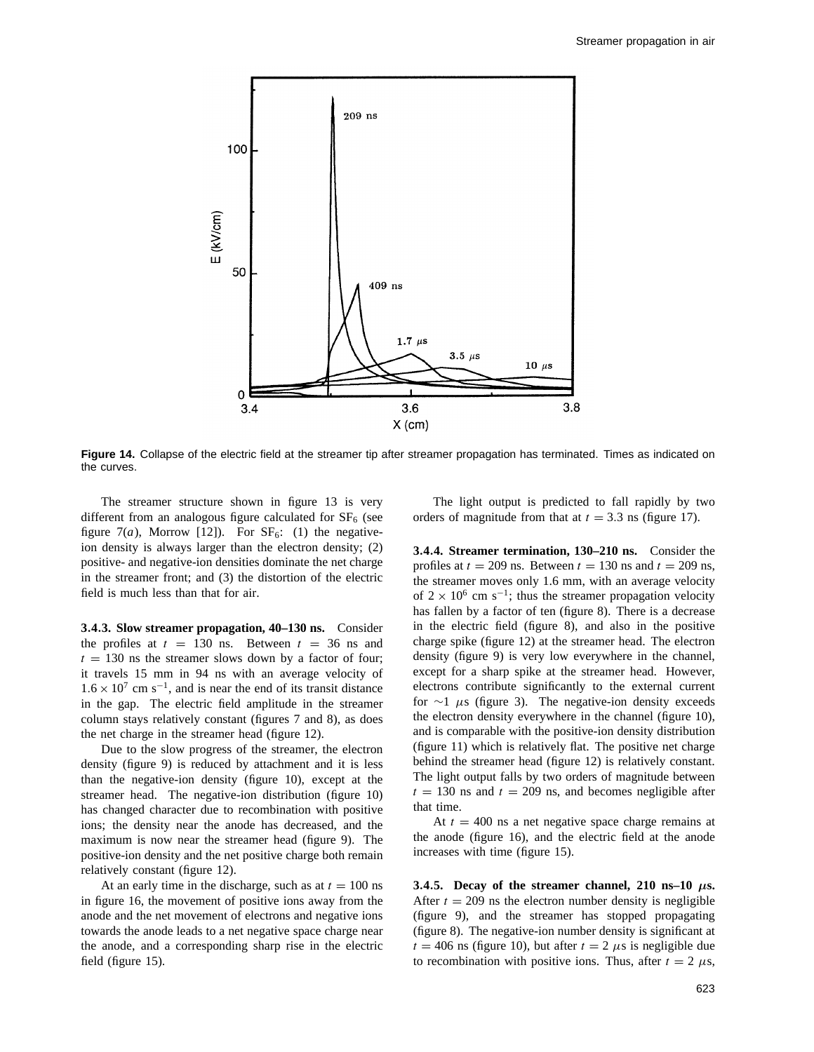

**Figure 14.** Collapse of the electric field at the streamer tip after streamer propagation has terminated. Times as indicated on the curves.

The streamer structure shown in figure 13 is very different from an analogous figure calculated for  $SF<sub>6</sub>$  (see figure  $7(a)$ , Morrow [12]). For  $SF<sub>6</sub>$ : (1) the negativeion density is always larger than the electron density; (2) positive- and negative-ion densities dominate the net charge in the streamer front; and (3) the distortion of the electric field is much less than that for air.

**3***.***4***.***3. Slow streamer propagation, 40–130 ns.** Consider the profiles at  $t = 130$  ns. Between  $t = 36$  ns and  $t = 130$  ns the streamer slows down by a factor of four; it travels 15 mm in 94 ns with an average velocity of  $1.6 \times 10^{7}$  cm s<sup>-1</sup>, and is near the end of its transit distance in the gap. The electric field amplitude in the streamer column stays relatively constant (figures 7 and 8), as does the net charge in the streamer head (figure 12).

Due to the slow progress of the streamer, the electron density (figure 9) is reduced by attachment and it is less than the negative-ion density (figure 10), except at the streamer head. The negative-ion distribution (figure 10) has changed character due to recombination with positive ions; the density near the anode has decreased, and the maximum is now near the streamer head (figure 9). The positive-ion density and the net positive charge both remain relatively constant (figure 12).

At an early time in the discharge, such as at  $t = 100$  ns in figure 16, the movement of positive ions away from the anode and the net movement of electrons and negative ions towards the anode leads to a net negative space charge near the anode, and a corresponding sharp rise in the electric field (figure 15).

The light output is predicted to fall rapidly by two orders of magnitude from that at  $t = 3.3$  ns (figure 17).

**3***.***4***.***4. Streamer termination, 130–210 ns.** Consider the profiles at  $t = 209$  ns. Between  $t = 130$  ns and  $t = 209$  ns, the streamer moves only 1.6 mm, with an average velocity of  $2 \times 10^6$  cm s<sup>-1</sup>; thus the streamer propagation velocity has fallen by a factor of ten (figure 8). There is a decrease in the electric field (figure 8), and also in the positive charge spike (figure 12) at the streamer head. The electron density (figure 9) is very low everywhere in the channel, except for a sharp spike at the streamer head. However, electrons contribute significantly to the external current for ∼1 *µ*s (figure 3). The negative-ion density exceeds the electron density everywhere in the channel (figure 10), and is comparable with the positive-ion density distribution (figure 11) which is relatively flat. The positive net charge behind the streamer head (figure 12) is relatively constant. The light output falls by two orders of magnitude between  $t = 130$  ns and  $t = 209$  ns, and becomes negligible after that time.

At  $t = 400$  ns a net negative space charge remains at the anode (figure 16), and the electric field at the anode increases with time (figure 15).

**3.4.5.** Decay of the streamer channel, 210 ns–10  $\mu$ s. After  $t = 209$  ns the electron number density is negligible (figure 9), and the streamer has stopped propagating (figure 8). The negative-ion number density is significant at  $t = 406$  ns (figure 10), but after  $t = 2 \mu s$  is negligible due to recombination with positive ions. Thus, after  $t = 2 \mu s$ ,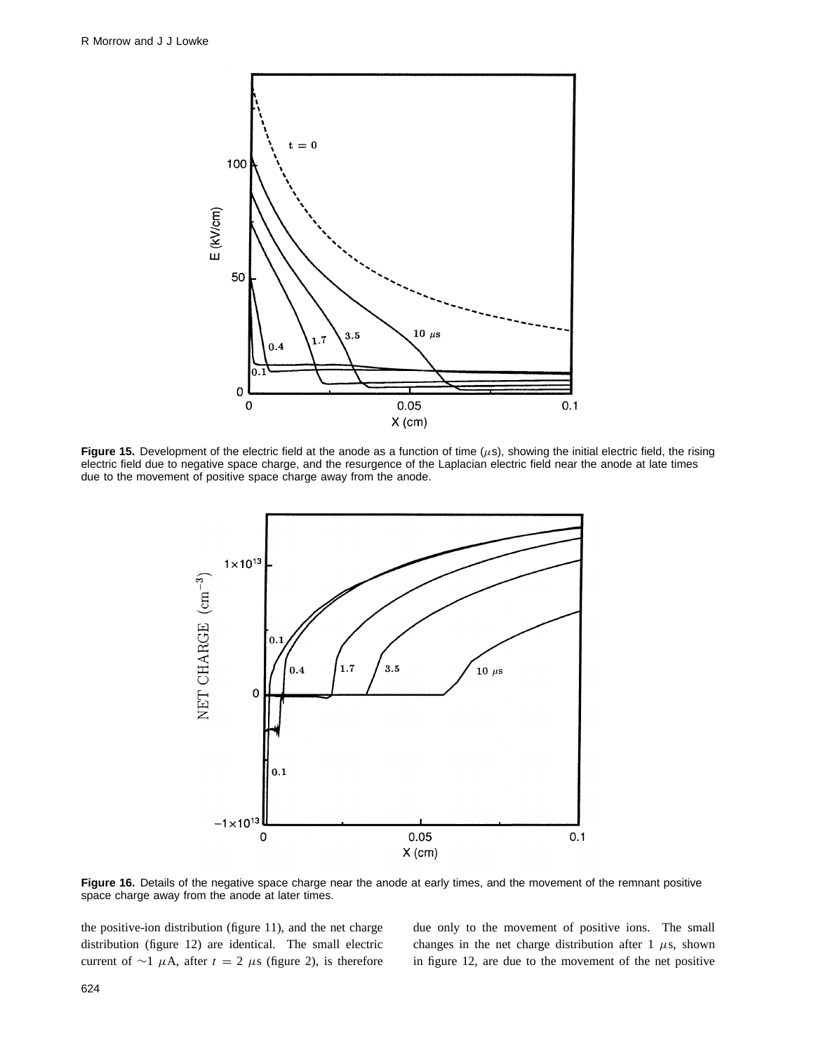

**Figure 15.** Development of the electric field at the anode as a function of time  $(\mu s)$ , showing the initial electric field, the rising electric field due to negative space charge, and the resurgence of the Laplacian electric field near the anode at late times due to the movement of positive space charge away from the anode.



**Figure 16.** Details of the negative space charge near the anode at early times, and the movement of the remnant positive space charge away from the anode at later times.

the positive-ion distribution (figure 11), and the net charge distribution (figure 12) are identical. The small electric current of ∼1  $\mu$ A, after  $t = 2 \mu$ s (figure 2), is therefore due only to the movement of positive ions. The small changes in the net charge distribution after  $1 \mu s$ , shown in figure 12, are due to the movement of the net positive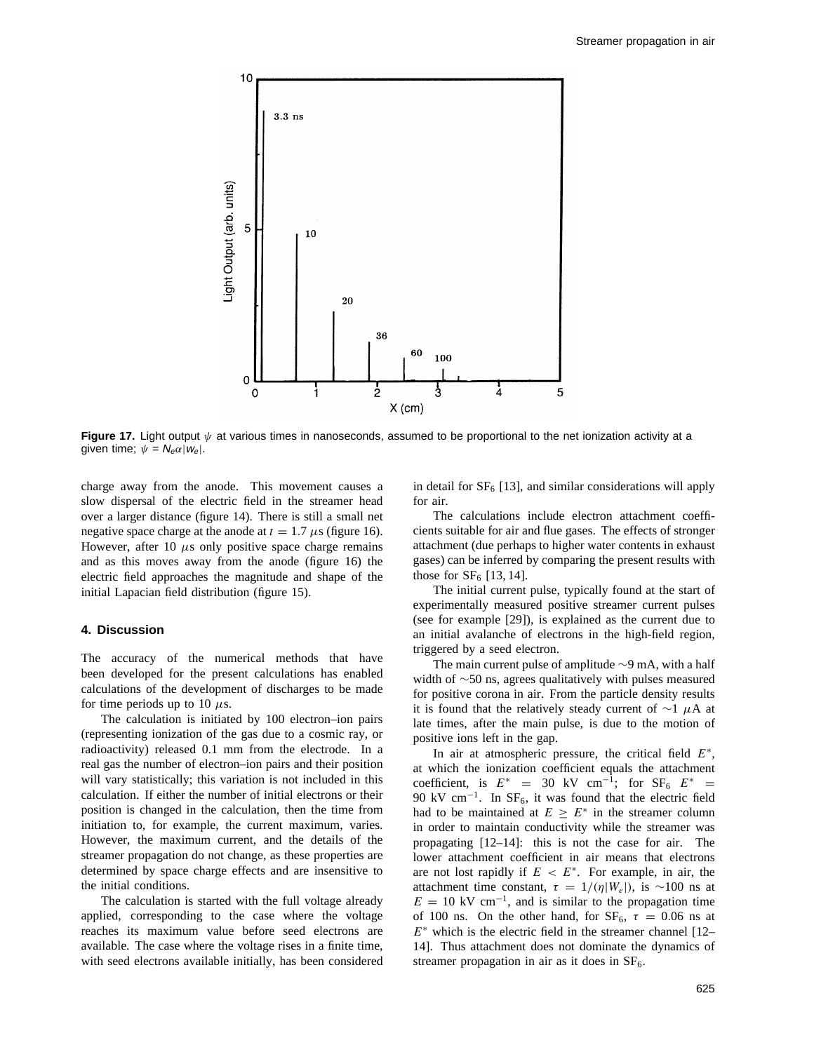

**Figure 17.** Light output *ψ* at various times in nanoseconds, assumed to be proportional to the net ionization activity at a given time;  $\psi = N_e \alpha |w_e|$ .

charge away from the anode. This movement causes a slow dispersal of the electric field in the streamer head over a larger distance (figure 14). There is still a small net negative space charge at the anode at  $t = 1.7 \mu s$  (figure 16). However, after 10 *µ*s only positive space charge remains and as this moves away from the anode (figure 16) the electric field approaches the magnitude and shape of the initial Lapacian field distribution (figure 15).

#### **4. Discussion**

The accuracy of the numerical methods that have been developed for the present calculations has enabled calculations of the development of discharges to be made for time periods up to 10  $\mu$ s.

The calculation is initiated by 100 electron–ion pairs (representing ionization of the gas due to a cosmic ray, or radioactivity) released 0.1 mm from the electrode. In a real gas the number of electron–ion pairs and their position will vary statistically; this variation is not included in this calculation. If either the number of initial electrons or their position is changed in the calculation, then the time from initiation to, for example, the current maximum, varies. However, the maximum current, and the details of the streamer propagation do not change, as these properties are determined by space charge effects and are insensitive to the initial conditions.

The calculation is started with the full voltage already applied, corresponding to the case where the voltage reaches its maximum value before seed electrons are available. The case where the voltage rises in a finite time, with seed electrons available initially, has been considered in detail for  $SF_6$  [13], and similar considerations will apply for air.

The calculations include electron attachment coefficients suitable for air and flue gases. The effects of stronger attachment (due perhaps to higher water contents in exhaust gases) can be inferred by comparing the present results with those for  $SF<sub>6</sub>$  [13, 14].

The initial current pulse, typically found at the start of experimentally measured positive streamer current pulses (see for example [29]), is explained as the current due to an initial avalanche of electrons in the high-field region, triggered by a seed electron.

The main current pulse of amplitude ∼9 mA, with a half width of ∼50 ns, agrees qualitatively with pulses measured for positive corona in air. From the particle density results it is found that the relatively steady current of ∼1 *µ*A at late times, after the main pulse, is due to the motion of positive ions left in the gap.

In air at atmospheric pressure, the critical field *E*∗, at which the ionization coefficient equals the attachment coefficient, is  $E^* = 30$  kV cm<sup>-1</sup>; for SF<sub>6</sub>  $E^* =$ 90 kV cm<sup>-1</sup>. In SF<sub>6</sub>, it was found that the electric field had to be maintained at  $E > E^*$  in the streamer column in order to maintain conductivity while the streamer was propagating [12–14]: this is not the case for air. The lower attachment coefficient in air means that electrons are not lost rapidly if  $E < E^*$ . For example, in air, the attachment time constant,  $\tau = 1/(n|W_e|)$ , is ~100 ns at  $E = 10 \text{ kV cm}^{-1}$ , and is similar to the propagation time of 100 ns. On the other hand, for  $SF_6$ ,  $\tau = 0.06$  ns at *E*<sup>∗</sup> which is the electric field in the streamer channel [12– 14]. Thus attachment does not dominate the dynamics of streamer propagation in air as it does in  $SF<sub>6</sub>$ .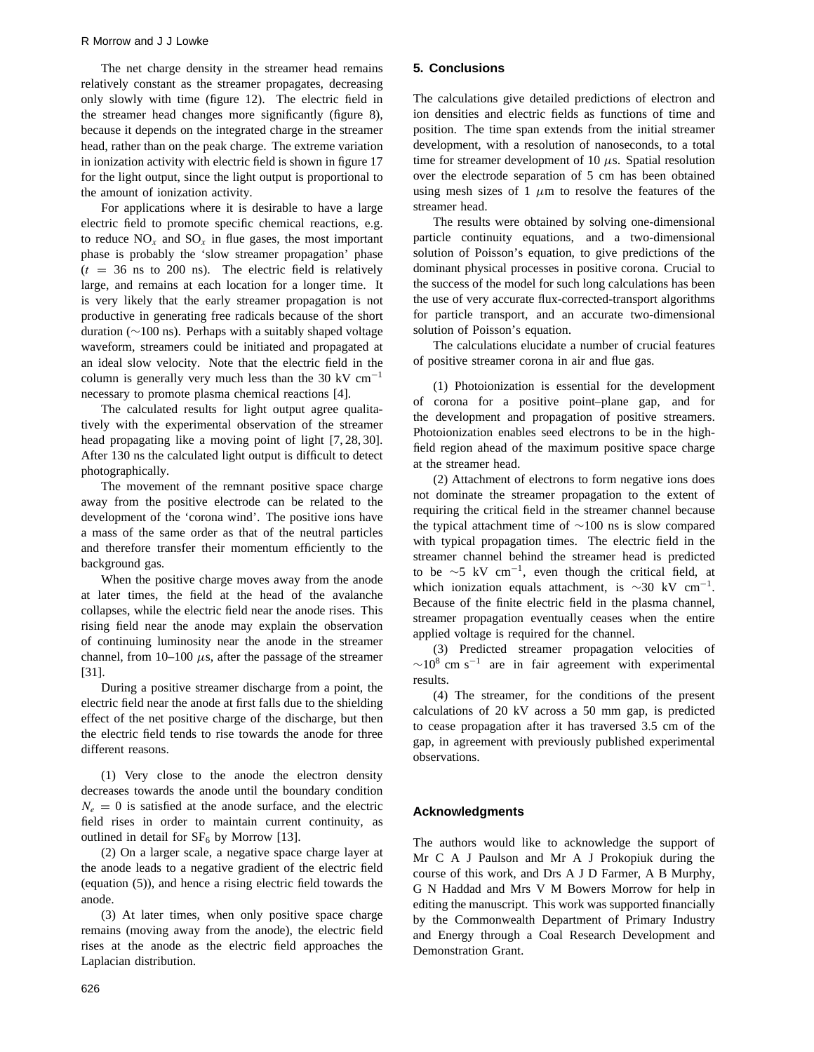The net charge density in the streamer head remains relatively constant as the streamer propagates, decreasing only slowly with time (figure 12). The electric field in the streamer head changes more significantly (figure 8), because it depends on the integrated charge in the streamer head, rather than on the peak charge. The extreme variation in ionization activity with electric field is shown in figure 17 for the light output, since the light output is proportional to the amount of ionization activity.

For applications where it is desirable to have a large electric field to promote specific chemical reactions, e.g. to reduce  $NO<sub>x</sub>$  and  $SO<sub>x</sub>$  in flue gases, the most important phase is probably the 'slow streamer propagation' phase  $(t = 36 \text{ ns to } 200 \text{ ns})$ . The electric field is relatively large, and remains at each location for a longer time. It is very likely that the early streamer propagation is not productive in generating free radicals because of the short duration (∼100 ns). Perhaps with a suitably shaped voltage waveform, streamers could be initiated and propagated at an ideal slow velocity. Note that the electric field in the column is generally very much less than the 30 kV cm<sup>-1</sup> necessary to promote plasma chemical reactions [4].

The calculated results for light output agree qualitatively with the experimental observation of the streamer head propagating like a moving point of light [7, 28, 30]. After 130 ns the calculated light output is difficult to detect photographically.

The movement of the remnant positive space charge away from the positive electrode can be related to the development of the 'corona wind'. The positive ions have a mass of the same order as that of the neutral particles and therefore transfer their momentum efficiently to the background gas.

When the positive charge moves away from the anode at later times, the field at the head of the avalanche collapses, while the electric field near the anode rises. This rising field near the anode may explain the observation of continuing luminosity near the anode in the streamer channel, from  $10-100 \mu s$ , after the passage of the streamer [31].

During a positive streamer discharge from a point, the electric field near the anode at first falls due to the shielding effect of the net positive charge of the discharge, but then the electric field tends to rise towards the anode for three different reasons.

(1) Very close to the anode the electron density decreases towards the anode until the boundary condition  $N_e = 0$  is satisfied at the anode surface, and the electric field rises in order to maintain current continuity, as outlined in detail for  $SF_6$  by Morrow [13].

(2) On a larger scale, a negative space charge layer at the anode leads to a negative gradient of the electric field (equation (5)), and hence a rising electric field towards the anode.

(3) At later times, when only positive space charge remains (moving away from the anode), the electric field rises at the anode as the electric field approaches the Laplacian distribution.

# **5. Conclusions**

The calculations give detailed predictions of electron and ion densities and electric fields as functions of time and position. The time span extends from the initial streamer development, with a resolution of nanoseconds, to a total time for streamer development of 10 *µ*s. Spatial resolution over the electrode separation of 5 cm has been obtained using mesh sizes of 1  $\mu$ m to resolve the features of the streamer head.

The results were obtained by solving one-dimensional particle continuity equations, and a two-dimensional solution of Poisson's equation, to give predictions of the dominant physical processes in positive corona. Crucial to the success of the model for such long calculations has been the use of very accurate flux-corrected-transport algorithms for particle transport, and an accurate two-dimensional solution of Poisson's equation.

The calculations elucidate a number of crucial features of positive streamer corona in air and flue gas.

(1) Photoionization is essential for the development of corona for a positive point–plane gap, and for the development and propagation of positive streamers. Photoionization enables seed electrons to be in the highfield region ahead of the maximum positive space charge at the streamer head.

(2) Attachment of electrons to form negative ions does not dominate the streamer propagation to the extent of requiring the critical field in the streamer channel because the typical attachment time of ∼100 ns is slow compared with typical propagation times. The electric field in the streamer channel behind the streamer head is predicted to be  $\sim$ 5 kV cm<sup>-1</sup>, even though the critical field, at which ionization equals attachment, is  $\sim$ 30 kV cm<sup>-1</sup>. Because of the finite electric field in the plasma channel, streamer propagation eventually ceases when the entire applied voltage is required for the channel.

(3) Predicted streamer propagation velocities of  $\sim$ 10<sup>8</sup> cm s<sup>−1</sup> are in fair agreement with experimental results.

(4) The streamer, for the conditions of the present calculations of 20 kV across a 50 mm gap, is predicted to cease propagation after it has traversed 3.5 cm of the gap, in agreement with previously published experimental observations.

# **Acknowledgments**

The authors would like to acknowledge the support of Mr C A J Paulson and Mr A J Prokopiuk during the course of this work, and DrsAJD Farmer, A B Murphy, G N Haddad and Mrs V M Bowers Morrow for help in editing the manuscript. This work was supported financially by the Commonwealth Department of Primary Industry and Energy through a Coal Research Development and Demonstration Grant.